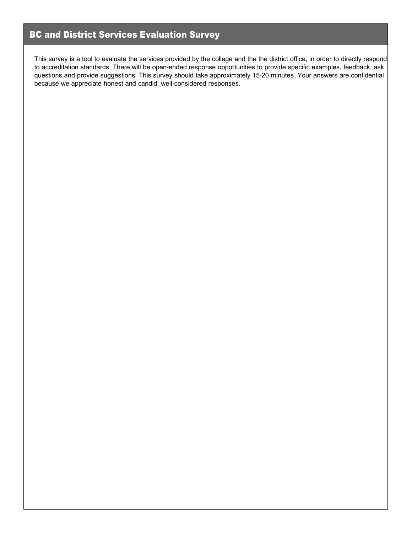# BC and District Services Evaluation Survey

This survey is a tool to evaluate the services provided by the college and the the district office, in order to directly respond to accreditation standards. There will be open-ended response opportunities to provide specific examples, feedback, ask questions and provide suggestions. This survey should take approximately 15-20 minutes. Your answers are confidential because we appreciate honest and candid, well-considered responses.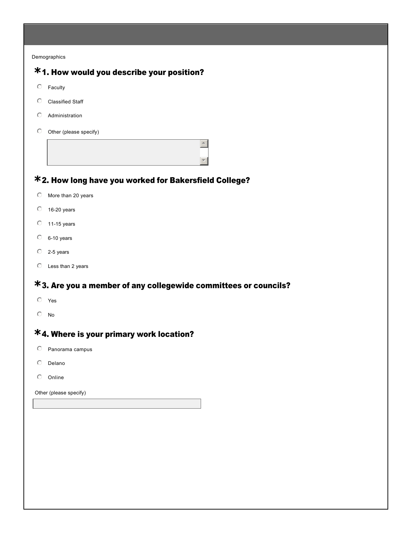Demographics

# 1. How would you describe your position? **\*** 2. How long have you worked for Bakersfield College? **\*** 3. Are you a member of any collegewide committees or councils? **\*** 4. Where is your primary work location? **\***  $O$  Faculty  $O$  Classified Staff  $O$  Administration  $\odot$  Other (please specify)  $\left| \right|$  $\mathbf{v}$  $\heartsuit$  More than 20 years  $\degree$  16-20 years  $O$  11-15 years  $O$  6-10 years  $O$  2-5 years  $O$  Less than 2 years  $O$  Yes  $\overline{\odot}$  No  $O$  Panorama campus  $O$  Delano  $O$  Online

Other (please specify)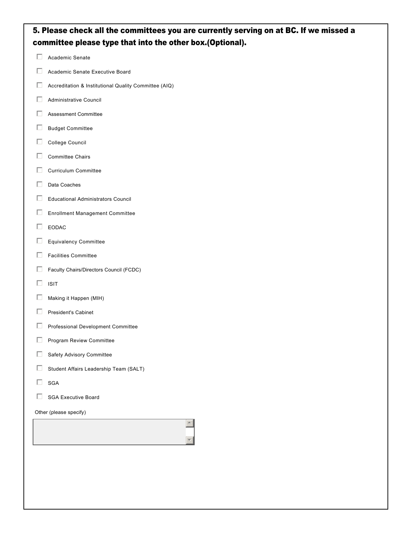| 5. Please check all the committees you are currently serving on at BC. If we missed a<br>committee please type that into the other box.(Optional). |                                                       |  |  |  |  |  |  |
|----------------------------------------------------------------------------------------------------------------------------------------------------|-------------------------------------------------------|--|--|--|--|--|--|
| П                                                                                                                                                  | Academic Senate                                       |  |  |  |  |  |  |
| $\Box$                                                                                                                                             | Academic Senate Executive Board                       |  |  |  |  |  |  |
| $\Box$                                                                                                                                             | Accreditation & Institutional Quality Committee (AIQ) |  |  |  |  |  |  |
| П                                                                                                                                                  | Administrative Council                                |  |  |  |  |  |  |
| П                                                                                                                                                  | <b>Assessment Committee</b>                           |  |  |  |  |  |  |
| $\Box$                                                                                                                                             | <b>Budget Committee</b>                               |  |  |  |  |  |  |
| $\Box$                                                                                                                                             | College Council                                       |  |  |  |  |  |  |
| $\Box$                                                                                                                                             | <b>Committee Chairs</b>                               |  |  |  |  |  |  |
| П                                                                                                                                                  | <b>Curriculum Committee</b>                           |  |  |  |  |  |  |
| $\Box$                                                                                                                                             | Data Coaches                                          |  |  |  |  |  |  |
| П                                                                                                                                                  | <b>Educational Administrators Council</b>             |  |  |  |  |  |  |
| $\Box$                                                                                                                                             | <b>Enrollment Management Committee</b>                |  |  |  |  |  |  |
| П                                                                                                                                                  | EODAC                                                 |  |  |  |  |  |  |
| $\Box$                                                                                                                                             | Equivalency Committee                                 |  |  |  |  |  |  |
| $\Box$                                                                                                                                             | <b>Facilities Committee</b>                           |  |  |  |  |  |  |
| $\Box$                                                                                                                                             | Faculty Chairs/Directors Council (FCDC)               |  |  |  |  |  |  |
| П                                                                                                                                                  | <b>ISIT</b>                                           |  |  |  |  |  |  |
| $\Box$                                                                                                                                             | Making it Happen (MIH)                                |  |  |  |  |  |  |
| П                                                                                                                                                  | <b>President's Cabinet</b>                            |  |  |  |  |  |  |
| □                                                                                                                                                  | Professional Development Committee                    |  |  |  |  |  |  |
| □                                                                                                                                                  | Program Review Committee                              |  |  |  |  |  |  |
| $\Box$                                                                                                                                             | Safety Advisory Committee                             |  |  |  |  |  |  |
| □                                                                                                                                                  | Student Affairs Leadership Team (SALT)                |  |  |  |  |  |  |
| $\Box$                                                                                                                                             | SGA                                                   |  |  |  |  |  |  |
| П<br><b>SGA Executive Board</b>                                                                                                                    |                                                       |  |  |  |  |  |  |
| Other (please specify)                                                                                                                             |                                                       |  |  |  |  |  |  |
|                                                                                                                                                    |                                                       |  |  |  |  |  |  |
|                                                                                                                                                    |                                                       |  |  |  |  |  |  |
|                                                                                                                                                    |                                                       |  |  |  |  |  |  |
|                                                                                                                                                    |                                                       |  |  |  |  |  |  |
|                                                                                                                                                    |                                                       |  |  |  |  |  |  |
|                                                                                                                                                    |                                                       |  |  |  |  |  |  |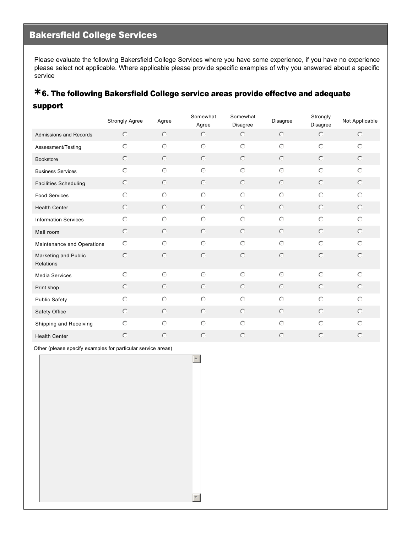# Bakersfield College Services

Please evaluate the following Bakersfield College Services where you have some experience, if you have no experience please select not applicable. Where applicable please provide specific examples of why you answered about a specific service

#### 6. The following Bakersfield College service areas provide effectve and adequate **\*** support

|                                   | Strongly Agree | Agree   | Somewhat<br>Agree | Somewhat<br>Disagree | <b>Disagree</b> | Strongly<br>Disagree | Not Applicable |
|-----------------------------------|----------------|---------|-------------------|----------------------|-----------------|----------------------|----------------|
| Admissions and Records            | $\circ$        | $\circ$ | $\bigcirc$        | $\odot$              | $\circ$         | $\odot$              | $\circledcirc$ |
| Assessment/Testing                | $\bigcirc$     | $\circ$ | $\circ$           | $\bigcirc$           | $\bigcirc$      | $\circ$              | $\circ$        |
| <b>Bookstore</b>                  | $\circ$        | $\circ$ | $\circ$           | $\odot$              | $\circ$         | $\circ$              | $\circledcirc$ |
| <b>Business Services</b>          | $\circ$        | $\circ$ | $\circ$           | $\bigcirc$           | $\circ$         | $\circ$              | $\circ$        |
| <b>Facilities Scheduling</b>      | $\circ$        | $\circ$ | $\circ$           | $\circ$              | $\circ$         | $\circ$              | $\circ$        |
| <b>Food Services</b>              | $\bigcirc$     | $\circ$ | $\odot$           | $\bigcirc$           | $\circ$         | $\circ$              | $\circ$        |
| <b>Health Center</b>              | $\circ$        | $\circ$ | $\circ$           | $\odot$              | $\odot$         | $\bigcirc$           | $\circ$        |
| <b>Information Services</b>       | $\circ$        | $\circ$ | $\odot$           | $\bigcap$            | $\circ$         | $\circ$              | $\circ$        |
| Mail room                         | $\circ$        | $\circ$ | $\circ$           | $\circ$              | $\circ$         | $\circ$              | $\odot$        |
| Maintenance and Operations        | $\circ$        | $\circ$ | $\circ$           | $\bigcap$            | $\circ$         | $\circ$              | $\circ$        |
| Marketing and Public<br>Relations | $\bigcirc$     | $\circ$ | $\circ$           | $\bigcap$            | $\circ$         | $\circ$              | $\circ$        |
| <b>Media Services</b>             | $\circ$        | $\circ$ | $\circ$           | $\odot$              | $\bigcirc$      | $\bigcirc$           | $\circ$        |
| Print shop                        | $\circ$        | $\circ$ | $\circledcirc$    | $\bigcirc$           | $\circ$         | $\circ$              | $\circ$        |
| <b>Public Safety</b>              | $\circ$        | $\odot$ | $\circ$           | $\circ$              | $\circ$         | $\circ$              | $\circ$        |
| Safety Office                     | $\circ$        | $\circ$ | $\circ$           | $\circ$              | $\circ$         | $\circ$              | $\circ$        |
| Shipping and Receiving            | $\circ$        | $\circ$ | $\circ$           | $\odot$              | $\circ$         | $\circ$              | $\circ$        |
| <b>Health Center</b>              | $\bigcirc$     | $\circ$ | $\circ$           | $\bigcirc$           | $\circ$         | $\bigcirc$           | $\circ$        |

 $\blacktriangle$ 

6

Other (please specify examples for particular service areas)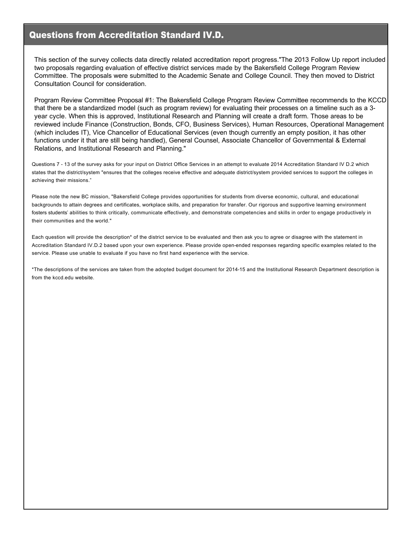#### Questions from Accreditation Standard IV.D.

This section of the survey collects data directly related accreditation report progress."The 2013 Follow Up report included two proposals regarding evaluation of effective district services made by the Bakersfield College Program Review Committee. The proposals were submitted to the Academic Senate and College Council. They then moved to District Consultation Council for consideration.

Program Review Committee Proposal #1: The Bakersfield College Program Review Committee recommends to the KCCD that there be a standardized model (such as program review) for evaluating their processes on a timeline such as a 3 year cycle. When this is approved, Institutional Research and Planning will create a draft form. Those areas to be reviewed include Finance (Construction, Bonds, CFO, Business Services), Human Resources, Operational Management (which includes IT), Vice Chancellor of Educational Services (even though currently an empty position, it has other functions under it that are still being handled), General Counsel, Associate Chancellor of Governmental & External Relations, and Institutional Research and Planning."

Questions 7 13 of the survey asks for your input on District Office Services in an attempt to evaluate 2014 Accreditation Standard IV D.2 which states that the district/system "ensures that the colleges receive effective and adequate district/system provided services to support the colleges in achieving their missions."

Please note the new BC mission, "Bakersfield College provides opportunities for students from diverse economic, cultural, and educational backgrounds to attain degrees and certificates, workplace skills, and preparation for transfer. Our rigorous and supportive learning environment fosters students' abilities to think critically, communicate effectively, and demonstrate competencies and skills in order to engage productively in their communities and the world."

Each question will provide the description\* of the district service to be evaluated and then ask you to agree or disagree with the statement in Accreditation Standard IV.D.2 based upon your own experience. Please provide open-ended responses regarding specific examples related to the service. Please use unable to evaluate if you have no first hand experience with the service.

\*The descriptions of the services are taken from the adopted budget document for 201415 and the Institutional Research Department description is from the kccd.edu website.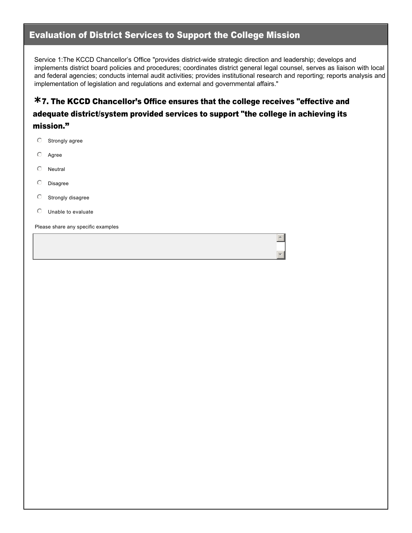#### Evaluation of District Services to Support the College Mission

Service 1:The KCCD Chancellor's Office "provides district-wide strategic direction and leadership; develops and implements district board policies and procedures; coordinates district general legal counsel, serves as liaison with local and federal agencies; conducts internal audit activities; provides institutional research and reporting; reports analysis and implementation of legislation and regulations and external and governmental affairs."

 $\overline{a}$ 

6

### 7. The KCCD Chancellor's Office ensures that the college receives "effective and **\*** adequate district/system provided services to support "the college in achieving its mission."

- $\heartsuit$  Strongly agree
- $O$  Agree
- $O$  Neutral
- $O$  Disagree
- $O$  Strongly disagree
- $\circ$  Unable to evaluate

Please share any specific examples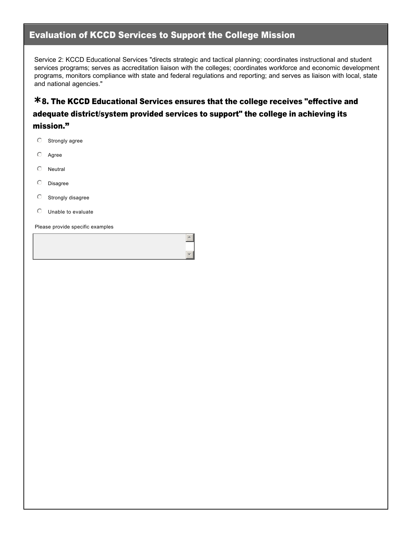#### Evaluation of KCCD Services to Support the College Mission

Service 2: KCCD Educational Services "directs strategic and tactical planning; coordinates instructional and student services programs; serves as accreditation liaison with the colleges; coordinates workforce and economic development programs, monitors compliance with state and federal regulations and reporting; and serves as liaison with local, state and national agencies."

### 8. The KCCD Educational Services ensures that the college receives "effective and **\*** adequate district/system provided services to support" the college in achieving its mission."

 $\blacktriangle$ 

6

- $\heartsuit$  Strongly agree
- $O$  Agree
- $O$  Neutral
- $O$  Disagree
- $O$  Strongly disagree
- $\circ$  Unable to evaluate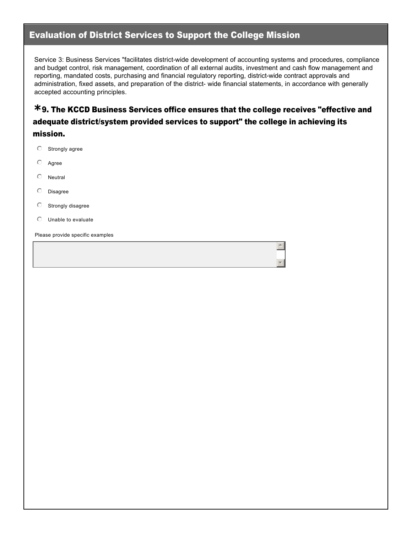#### Evaluation of District Services to Support the College Mission

Service 3: Business Services "facilitates district-wide development of accounting systems and procedures, compliance and budget control, risk management, coordination of all external audits, investment and cash flow management and reporting, mandated costs, purchasing and financial regulatory reporting, districtwide contract approvals and administration, fixed assets, and preparation of the district-wide financial statements, in accordance with generally accepted accounting principles.

#### 9. The KCCD Business Services office ensures that the college receives "effective and **\*** adequate district/system provided services to support" the college in achieving its mission.

 $\overline{a}$ 

6

- $\circ$  Strongly agree
- $O$  Agree
- $\heartsuit$  Neutral
- $\circ$  Disagree
- $\heartsuit$  Strongly disagree
- $\heartsuit$  Unable to evaluate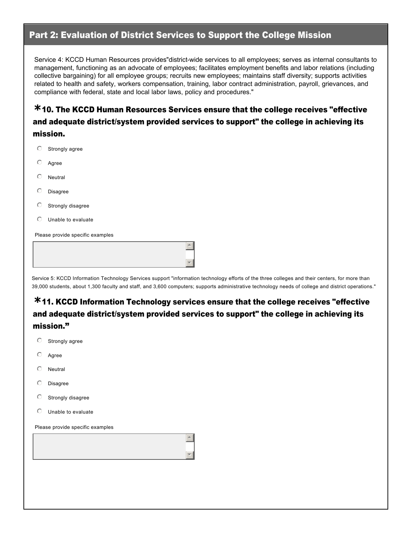#### Part 2: Evaluation of District Services to Support the College Mission

Service 4: KCCD Human Resources provides"district-wide services to all employees; serves as internal consultants to management, functioning as an advocate of employees; facilitates employment benefits and labor relations (including collective bargaining) for all employee groups; recruits new employees; maintains staff diversity; supports activities related to health and safety, workers compensation, training, labor contract administration, payroll, grievances, and compliance with federal, state and local labor laws, policy and procedures."

### 10. The KCCD Human Resources Services ensure that the college receives "effective **\*** and adequate district/system provided services to support" the college in achieving its mission.

 $\circ$  Strongly agree  $O$  Agree  $O$  Neutral  $O$  Disagree  $\heartsuit$  Strongly disagree  $\circ$  Unable to evaluate Please provide specific examples

Service 5: KCCD Information Technology Services support "information technology efforts of the three colleges and their centers, for more than 39,000 students, about 1,300 faculty and staff, and 3,600 computers; supports administrative technology needs of college and district operations."

 $\triangle$ 

 $\mathbf{v}$ 

 $\overline{a}$ 

6

#### 11. KCCD Information Technology services ensure that the college receives "effective **\*** and adequate district/system provided services to support" the college in achieving its mission."

- $\circledcirc$  Strongly agree
- $\heartsuit$  Agree
- $\circ$  Neutral
- $\circ$  Disagree
- $\heartsuit$  Strongly disagree
- $\heartsuit$  Unable to evaluate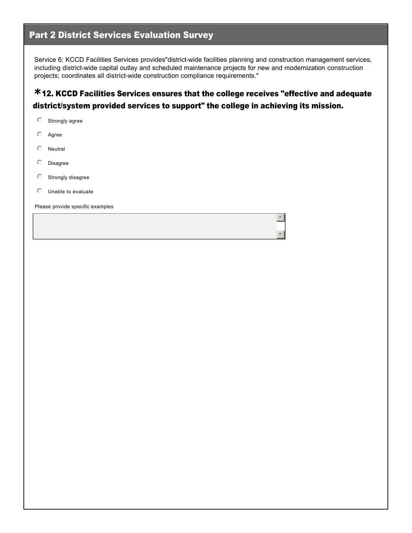#### Part 2 District Services Evaluation Survey

Service 6: KCCD Facilities Services provides"district-wide facilities planning and construction management services, including district-wide capital outlay and scheduled maintenance projects for new and modernization construction projects; coordinates all district-wide construction compliance requirements."

#### 12. KCCD Facilities Services ensures that the college receives "effective and adequate **\*** district/system provided services to support" the college in achieving its mission.

 $\blacktriangle$ 

6

- $\heartsuit$  Strongly agree
- $O$  Agree
- $\heartsuit$  Neutral
- $O$  Disagree
- $O$  Strongly disagree
- $\circ$  Unable to evaluate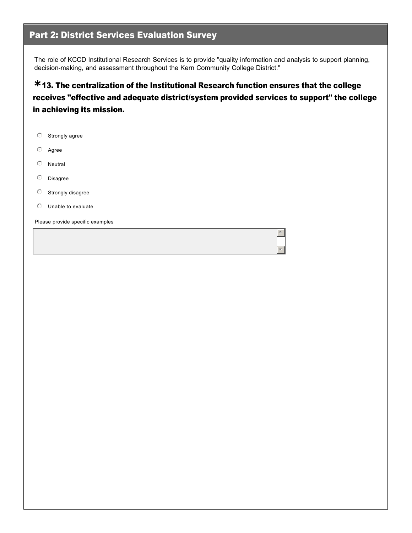#### Part 2: District Services Evaluation Survey

The role of KCCD Institutional Research Services is to provide "quality information and analysis to support planning, decision-making, and assessment throughout the Kern Community College District."

13. The centralization of the Institutional Research function ensures that the college **\*** receives "effective and adequate district/system provided services to support" the college in achieving its mission.

 $\triangle$ 

6

- $\heartsuit$  Strongly agree
- $\circ$  Agree
- $\heartsuit$  Neutral
- $O$  Disagree
- $\circledcirc$  Strongly disagree
- $\heartsuit$  Unable to evaluate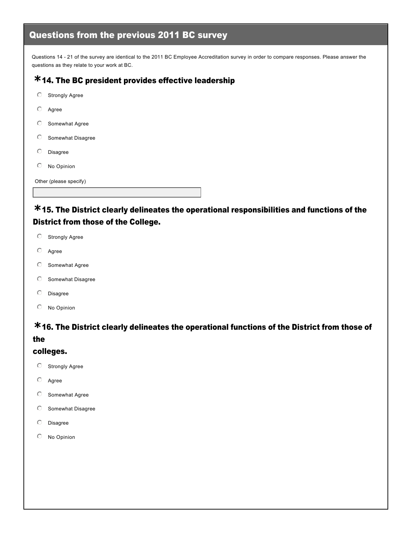# Questions from the previous 2011 BC survey

Questions 14 - 21 of the survey are identical to the 2011 BC Employee Accreditation survey in order to compare responses. Please answer the questions as they relate to your work at BC.

# 14. The BC president provides effective leadership **\***

- $\heartsuit$  Strongly Agree
- $\odot$  Agree
- $O$  Somewhat Agree
- $O$  Somewhat Disagree
- $O$  Disagree
- $O$  No Opinion

Other (please specify)

#### 15. The District clearly delineates the operational responsibilities and functions of the **\*** District from those of the College.

- $\heartsuit$  Strongly Agree
- $O$  Agree
- $O$  Somewhat Agree
- $O$  Somewhat Disagree
- $O$  Disagree
- $O$  No Opinion

# 16. The District clearly delineates the operational functions of the District from those of **\***

#### the

#### colleges.

- $\heartsuit$  Strongly Agree
- $O$  Agree
- $\circ$  Somewhat Agree
- $O$  Somewhat Disagree
- $O$  Disagree
- $O$  No Opinion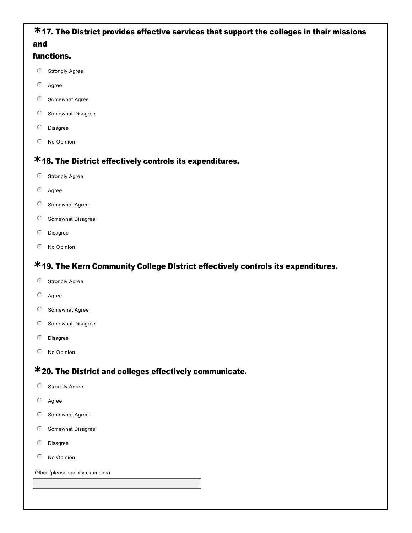#### 17. The District provides effective services that support the colleges in their missions **\*** and

#### functions.

- $O$  Strongly Agree
- $O$  Agree
- $O$  Somewhat Agree
- $O$  Somewhat Disagree
- $O$  Disagree
- $O$  No Opinion

# 18. The District effectively controls its expenditures. **\***

- $\circledcirc$  Strongly Agree
- $O$  Agree
- $O$  Somewhat Agree
- $O$  Somewhat Disagree
- $O$  Disagree
- $O$  No Opinion

# 19. The Kern Community College DIstrict effectively controls its expenditures. **\***

- $\heartsuit$  Strongly Agree
- $O$  Agree
- $O$  Somewhat Agree
- $O$  Somewhat Disagree
- $O$  Disagree
- $O$  No Opinion

# 20. The District and colleges effectively communicate. **\***

- $\heartsuit$  Strongly Agree
- $O$  Agree
- $\heartsuit$  Somewhat Agree
- $\odot$  Somewhat Disagree
- $O$  Disagree
- $O$  No Opinion

Other (please specify examples)